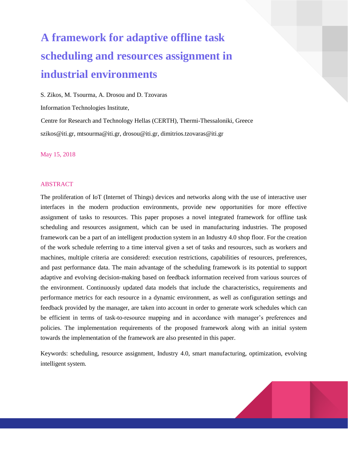# **A framework for adaptive offline task scheduling and resources assignment in industrial environments**

S. Zikos, M. Tsourma, A. Drosou and D. Tzovaras

Information Technologies Institute,

Centre for Research and Technology Hellas (CERTH), Thermi-Thessaloniki, Greece szikos@iti.gr, mtsourma@iti.gr, drosou@iti.gr, dimitrios.tzovaras@iti.gr

May 15, 2018

#### ABSTRACT

The proliferation of IoT (Internet of Things) devices and networks along with the use of interactive user interfaces in the modern production environments, provide new opportunities for more effective assignment of tasks to resources. This paper proposes a novel integrated framework for offline task scheduling and resources assignment, which can be used in manufacturing industries. The proposed framework can be a part of an intelligent production system in an Industry 4.0 shop floor. For the creation of the work schedule referring to a time interval given a set of tasks and resources, such as workers and machines, multiple criteria are considered: execution restrictions, capabilities of resources, preferences, and past performance data. The main advantage of the scheduling framework is its potential to support adaptive and evolving decision-making based on feedback information received from various sources of the environment. Continuously updated data models that include the characteristics, requirements and performance metrics for each resource in a dynamic environment, as well as configuration settings and feedback provided by the manager, are taken into account in order to generate work schedules which can be efficient in terms of task-to-resource mapping and in accordance with manager's preferences and policies. The implementation requirements of the proposed framework along with an initial system towards the implementation of the framework are also presented in this paper.

Keywords: scheduling, resource assignment, Industry 4.0, smart manufacturing, optimization, evolving intelligent system.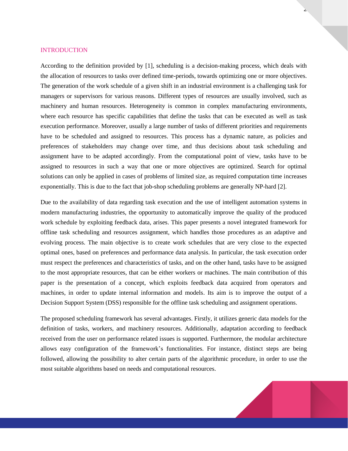## **INTRODUCTION**

According to the definition provided by [\[1\],](#page-11-0) scheduling is a decision-making process, which deals with the allocation of resources to tasks over defined time-periods, towards optimizing one or more objectives. The generation of the work schedule of a given shift in an industrial environment is a challenging task for managers or supervisors for various reasons. Different types of resources are usually involved, such as machinery and human resources. Heterogeneity is common in complex manufacturing environments, where each resource has specific capabilities that define the tasks that can be executed as well as task execution performance. Moreover, usually a large number of tasks of different priorities and requirements have to be scheduled and assigned to resources. This process has a dynamic nature, as policies and preferences of stakeholders may change over time, and thus decisions about task scheduling and assignment have to be adapted accordingly. From the computational point of view, tasks have to be assigned to resources in such a way that one or more objectives are optimized. Search for optimal solutions can only be applied in cases of problems of limited size, as required computation time increases exponentially. This is due to the fact that job-shop scheduling problems are generally NP-hard [\[2\].](#page-11-1)

 $\overline{z}$ 

Due to the availability of data regarding task execution and the use of intelligent automation systems in modern manufacturing industries, the opportunity to automatically improve the quality of the produced work schedule by exploiting feedback data, arises. This paper presents a novel integrated framework for offline task scheduling and resources assignment, which handles those procedures as an adaptive and evolving process. The main objective is to create work schedules that are very close to the expected optimal ones, based on preferences and performance data analysis. In particular, the task execution order must respect the preferences and characteristics of tasks, and on the other hand, tasks have to be assigned to the most appropriate resources, that can be either workers or machines. The main contribution of this paper is the presentation of a concept, which exploits feedback data acquired from operators and machines, in order to update internal information and models. Its aim is to improve the output of a Decision Support System (DSS) responsible for the offline task scheduling and assignment operations.

The proposed scheduling framework has several advantages. Firstly, it utilizes generic data models for the definition of tasks, workers, and machinery resources. Additionally, adaptation according to feedback received from the user on performance related issues is supported. Furthermore, the modular architecture allows easy configuration of the framework's functionalities. For instance, distinct steps are being followed, allowing the possibility to alter certain parts of the algorithmic procedure, in order to use the most suitable algorithms based on needs and computational resources.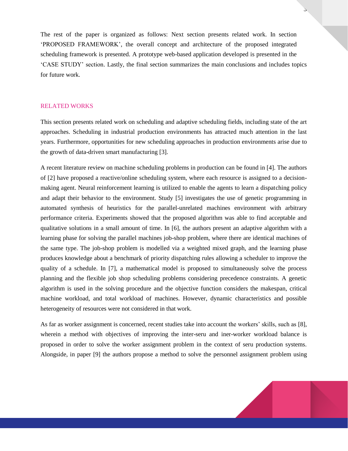The rest of the paper is organized as follows: Next section presents related work. In section 'PROPOSED FRAMEWORK', the overall concept and architecture of the proposed integrated scheduling framework is presented. A prototype web-based application developed is presented in the 'CASE STUDY' section. Lastly, the final section summarizes the main conclusions and includes topics for future work.

#### RELATED WORKS

This section presents related work on scheduling and adaptive scheduling fields, including state of the art approaches. Scheduling in industrial production environments has attracted much attention in the last years. Furthermore, opportunities for new scheduling approaches in production environments arise due to the growth of data-driven smart manufacturing [\[3\].](#page-11-2)

A recent literature review on machine scheduling problems in production can be found in [\[4\].](#page-11-3) The authors of [\[2\]](#page-11-1) have proposed a reactive/online scheduling system, where each resource is assigned to a decisionmaking agent. Neural reinforcement learning is utilized to enable the agents to learn a dispatching policy and adapt their behavior to the environment. Study [\[5\]](#page-11-4) investigates the use of genetic programming in automated synthesis of heuristics for the parallel-unrelated machines environment with arbitrary performance criteria. Experiments showed that the proposed algorithm was able to find acceptable and qualitative solutions in a small amount of time. In [\[6\],](#page-11-5) the authors present an adaptive algorithm with a learning phase for solving the parallel machines job-shop problem, where there are identical machines of the same type. The job-shop problem is modelled via a weighted mixed graph, and the learning phase produces knowledge about a benchmark of priority dispatching rules allowing a scheduler to improve the quality of a schedule. In [\[7\],](#page-11-6) a mathematical model is proposed to simultaneously solve the process planning and the flexible job shop scheduling problems considering precedence constraints. A genetic algorithm is used in the solving procedure and the objective function considers the makespan, critical machine workload, and total workload of machines. However, dynamic characteristics and possible heterogeneity of resources were not considered in that work.

As far as worker assignment is concerned, recent studies take into account the workers' skills, such as [\[8\],](#page-11-7) wherein a method with objectives of improving the inter-seru and iner-worker workload balance is proposed in order to solve the worker assignment problem in the context of seru production systems. Alongside, in paper [\[9\]](#page-11-8) the authors propose a method to solve the personnel assignment problem using



 $\mathcal{L}$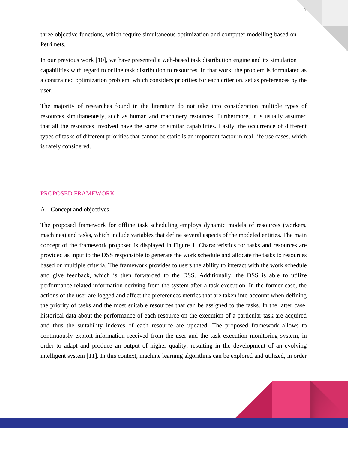three objective functions, which require simultaneous optimization and computer modelling based on Petri nets.

In our previous work [\[10\],](#page-11-9) we have presented a web-based task distribution engine and its simulation capabilities with regard to online task distribution to resources. In that work, the problem is formulated as a constrained optimization problem, which considers priorities for each criterion, set as preferences by the user.

The majority of researches found in the literature do not take into consideration multiple types of resources simultaneously, such as human and machinery resources. Furthermore, it is usually assumed that all the resources involved have the same or similar capabilities. Lastly, the occurrence of different types of tasks of different priorities that cannot be static is an important factor in real-life use cases, which is rarely considered.

## PROPOSED FRAMEWORK

## A. Concept and objectives

The proposed framework for offline task scheduling employs dynamic models of resources (workers, machines) and tasks, which include variables that define several aspects of the modeled entities. The main concept of the framework proposed is displayed in [Figure 1.](#page-4-0) Characteristics for tasks and resources are provided as input to the DSS responsible to generate the work schedule and allocate the tasks to resources based on multiple criteria. The framework provides to users the ability to interact with the work schedule and give feedback, which is then forwarded to the DSS. Additionally, the DSS is able to utilize performance-related information deriving from the system after a task execution. In the former case, the actions of the user are logged and affect the preferences metrics that are taken into account when defining the priority of tasks and the most suitable resources that can be assigned to the tasks. In the latter case, historical data about the performance of each resource on the execution of a particular task are acquired and thus the suitability indexes of each resource are updated. The proposed framework allows to continuously exploit information received from the user and the task execution monitoring system, in order to adapt and produce an output of higher quality, resulting in the development of an evolving intelligent system [\[11\].](#page-11-10) In this context, machine learning algorithms can be explored and utilized, in order

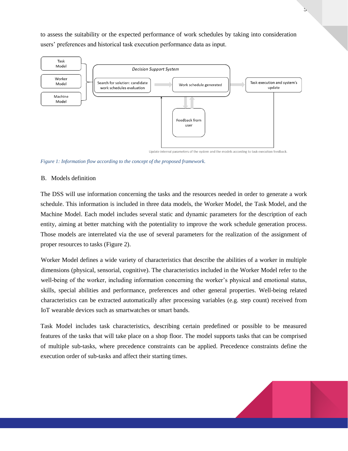to assess the suitability or the expected performance of work schedules by taking into consideration users' preferences and historical task execution performance data as input.



Update internal parameters of the system and the models according to task execution feedback.

<span id="page-4-0"></span>*Figure 1: Information flow according to the concept of the proposed framework.*

## B. Models definition

The DSS will use information concerning the tasks and the resources needed in order to generate a work schedule. This information is included in three data models, the Worker Model, the Task Model, and the Machine Model. Each model includes several static and dynamic parameters for the description of each entity, aiming at better matching with the potentiality to improve the work schedule generation process. Those models are interrelated via the use of several parameters for the realization of the assignment of proper resources to tasks [\(Figure 2\)](#page-5-0).

Worker Model defines a wide variety of characteristics that describe the abilities of a worker in multiple dimensions (physical, sensorial, cognitive). The characteristics included in the Worker Model refer to the well-being of the worker, including information concerning the worker's physical and emotional status, skills, special abilities and performance, preferences and other general properties. Well-being related characteristics can be extracted automatically after processing variables (e.g. step count) received from IoT wearable devices such as smartwatches or smart bands.

Task Model includes task characteristics, describing certain predefined or possible to be measured features of the tasks that will take place on a shop floor. The model supports tasks that can be comprised of multiple sub-tasks, where precedence constraints can be applied. Precedence constraints define the execution order of sub-tasks and affect their starting times.

 $\mathcal{D}$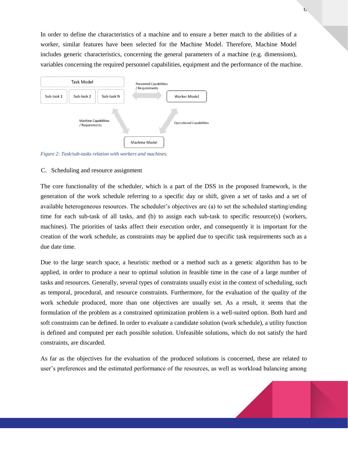In order to define the characteristics of a machine and to ensure a better match to the abilities of a worker, similar features have been selected for the Machine Model. Therefore, Machine Model includes generic characteristics, concerning the general parameters of a machine (e.g. dimensions), variables concerning the required personnel capabilities, equipment and the performance of the machine.



<span id="page-5-0"></span>*Figure 2: Task/sub-tasks relation with workers and machines.*

#### C. Scheduling and resource assignment

The core functionality of the scheduler, which is a part of the DSS in the proposed framework, is the generation of the work schedule referring to a specific day or shift, given a set of tasks and a set of available heterogeneous resources. The scheduler's objectives are (a) to set the scheduled starting/ending time for each sub-task of all tasks, and (b) to assign each sub-task to specific resource(s) (workers, machines). The priorities of tasks affect their execution order, and consequently it is important for the creation of the work schedule, as constraints may be applied due to specific task requirements such as a due date time.

Due to the large search space, a heuristic method or a method such as a genetic algorithm has to be applied, in order to produce a near to optimal solution in feasible time in the case of a large number of tasks and resources. Generally, several types of constraints usually exist in the context of scheduling, such as temporal, procedural, and resource constraints. Furthermore, for the evaluation of the quality of the work schedule produced, more than one objectives are usually set. As a result, it seems that the formulation of the problem as a constrained optimization problem is a well-suited option. Both hard and soft constraints can be defined. In order to evaluate a candidate solution (work schedule), a utility function is defined and computed per each possible solution. Unfeasible solutions, which do not satisfy the hard constraints, are discarded.

As far as the objectives for the evaluation of the produced solutions is concerned, these are related to user's preferences and the estimated performance of the resources, as well as workload balancing among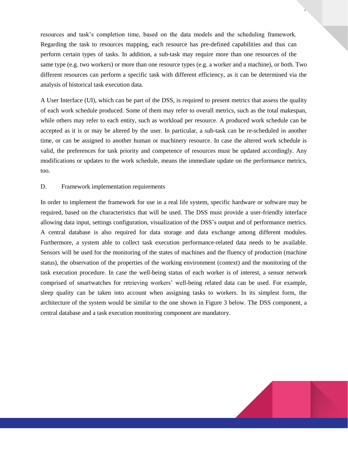resources and task's completion time, based on the data models and the scheduling framework. Regarding the task to resources mapping, each resource has pre-defined capabilities and thus can perform certain types of tasks. In addition, a sub-task may require more than one resources of the same type (e.g. two workers) or more than one resource types (e.g. a worker and a machine), or both. Two different resources can perform a specific task with different efficiency, as it can be determined via the analysis of historical task execution data.

 $\mathbf{r}$ 

A User Interface (UI), which can be part of the DSS, is required to present metrics that assess the quality of each work schedule produced. Some of them may refer to overall metrics, such as the total makespan, while others may refer to each entity, such as workload per resource. A produced work schedule can be accepted as it is or may be altered by the user. In particular, a sub-task can be re-scheduled in another time, or can be assigned to another human or machinery resource. In case the altered work schedule is valid, the preferences for task priority and competence of resources must be updated accordingly. Any modifications or updates to the work schedule, means the immediate update on the performance metrics, too.

#### D. Framework implementation requirements

In order to implement the framework for use in a real life system, specific hardware or software may be required, based on the characteristics that will be used. The DSS must provide a user-friendly interface allowing data input, settings configuration, visualization of the DSS's output and of performance metrics. A central database is also required for data storage and data exchange among different modules. Furthermore, a system able to collect task execution performance-related data needs to be available. Sensors will be used for the monitoring of the states of machines and the fluency of production (machine status), the observation of the properties of the working environment (context) and the monitoring of the task execution procedure. In case the well-being status of each worker is of interest, a sensor network comprised of smartwatches for retrieving workers' well-being related data can be used. For example, sleep quality can be taken into account when assigning tasks to workers. In its simplest form, the architecture of the system would be similar to the one shown in [Figure 3](#page-7-0) below. The DSS component, a central database and a task execution monitoring component are mandatory.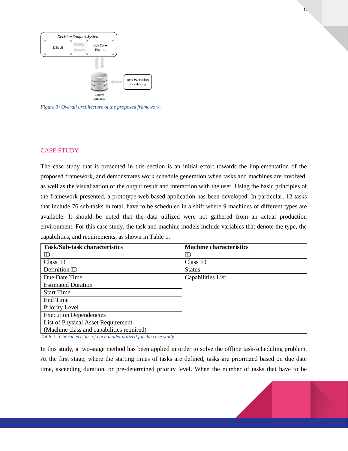

<span id="page-7-0"></span>*Figure 3: Overall architecture of the proposed framework.*

#### CASE STUDY

The case study that is presented in this section is an initial effort towards the implementation of the proposed framework, and demonstrates work schedule generation when tasks and machines are involved, as well as the visualization of the output result and interaction with the user. Using the basic principles of the framework presented, a prototype web-based application has been developed. In particular, 12 tasks that include 76 sub-tasks in total, have to be scheduled in a shift where 9 machines of different types are available. It should be noted that the data utilized were not gathered from an actual production environment. For this case study, the task and machine models include variables that denote the type, the capabilities, and requirements, as shown in Table 1.

| <b>Task/Sub-task characteristics</b>      | <b>Machine characteristics</b> |
|-------------------------------------------|--------------------------------|
| ID                                        | ID                             |
| Class ID                                  | Class ID                       |
| Definition ID                             | <b>Status</b>                  |
| Due Date Time                             | Capabilities List              |
| <b>Estimated Duration</b>                 |                                |
| <b>Start Time</b>                         |                                |
| End Time                                  |                                |
| Priority Level                            |                                |
| <b>Execution Dependencies</b>             |                                |
| List of Physical Asset Requirement        |                                |
| (Machine class and capabilities required) |                                |

*Table* 1*: Characteristics of each model utilized for the case study.*

In this study, a two-stage method has been applied in order to solve the offline task-scheduling problem. At the first stage, where the starting times of tasks are defined, tasks are prioritized based on due date time, ascending duration, or pre-determined priority level. When the number of tasks that have to be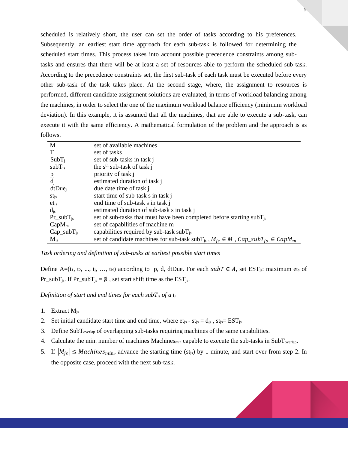scheduled is relatively short, the user can set the order of tasks according to his preferences. Subsequently, an earliest start time approach for each sub-task is followed for determining the scheduled start times. This process takes into account possible precedence constraints among subtasks and ensures that there will be at least a set of resources able to perform the scheduled sub-task. According to the precedence constraints set, the first sub-task of each task must be executed before every other sub-task of the task takes place. At the second stage, where, the assignment to resources is performed, different candidate assignment solutions are evaluated, in terms of workload balancing among the machines, in order to select the one of the maximum workload balance efficiency (minimum workload deviation). In this example, it is assumed that all the machines, that are able to execute a sub-task, can execute it with the same efficiency. A mathematical formulation of the problem and the approach is as follows.

| M                    | set of available machines                                                                                |
|----------------------|----------------------------------------------------------------------------------------------------------|
|                      |                                                                                                          |
| T                    | set of tasks                                                                                             |
| $SubT_i$             | set of sub-tasks in task j                                                                               |
| $subT$ <sub>is</sub> | the $sth$ sub-task of task j                                                                             |
| $p_j$                | priority of task j                                                                                       |
| $d_i$                | estimated duration of task j                                                                             |
| dtDue <sub>i</sub>   | due date time of task j                                                                                  |
| $st_{is}$            | start time of sub-task s in task j                                                                       |
| $et_{js}$            | end time of sub-task s in task j                                                                         |
| $d_{js}$             | estimated duration of sub-task s in task j                                                               |
| $Pr\_subT_{is}$      | set of sub-tasks that must have been completed before starting $subTis$                                  |
| $CapM_m$             | set of capabilities of machine m                                                                         |
| $Cap\_subT_{is}$     | capabilities required by sub-task $subTis$                                                               |
| $M_{is}$             | set of candidate machines for sub-task subT <sub>js</sub> , $M_{jS} \in M$ , $Cap\_subT_{jS} \in CapM_m$ |

*Task ordering and definition of sub-tasks at earliest possible start times*

Define A=(t<sub>1</sub>, t<sub>2</sub>, ..., t<sub>j</sub>, ..., t<sub>N</sub>) according to p, d, dtDue. For each  $subT \in A$ , set EST<sub>js</sub>: maximum ets of  $Pr\_subT_{js}$ . If  $Pr\_subT_{js} = \emptyset$ , set start shift time as the EST<sub>is</sub>.

*Definition of start and end times for each subTjs of a t<sup>j</sup>*

- 1. Extract Mjs
- 2. Set initial candidate start time and end time, where  $et_{js} st_{js} = d_{js}$ ,  $st_{js} = EST_{js}$
- 3. Define  $SubT_{overlap}$  of overlapping sub-tasks requiring machines of the same capabilities.
- 4. Calculate the min. number of machines Machines<sub>min</sub> capable to execute the sub-tasks in SubT<sub>overlap</sub>.
- 5. If  $|M_{is}| \leq \text{Machines}_{min}$ , advance the starting time (st<sub>js</sub>) by 1 minute, and start over from step 2. In the opposite case, proceed with the next sub-task.



 $\mathbf{v}$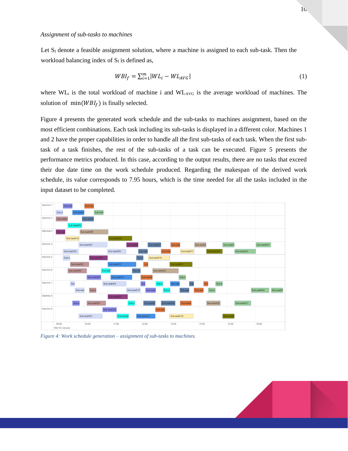Let  $S_f$  denote a feasible assignment solution, where a machine is assigned to each sub-task. Then the workload balancing index of  $S_f$  is defined as,

$$
WBI_f = \sum_{i=1}^{m} |WL_i - WL_{AVG}| \tag{1}
$$

where  $WL_i$  is the total workload of machine i and  $WL_{AVG}$  is the average workload of machines. The solution of  $min(WBI_f)$  is finally selected.

[Figure 4](#page-9-0) presents the generated work schedule and the sub-tasks to machines assignment, based on the most efficient combinations. Each task including its sub-tasks is displayed in a different color. Machines 1 and 2 have the proper capabilities in order to handle all the first sub-tasks of each task. When the first subtask of a task finishes, the rest of the sub-tasks of a task can be executed. [Figure 5](#page-10-0) presents the performance metrics produced. In this case, according to the output results, there are no tasks that exceed their due date time on the work schedule produced. Regarding the makespan of the derived work schedule, its value corresponds to 7.95 hours, which is the time needed for all the tasks included in the input dataset to be completed.



<span id="page-9-0"></span>*Figure 4: Work schedule generation – assignment of sub-tasks to machines.*

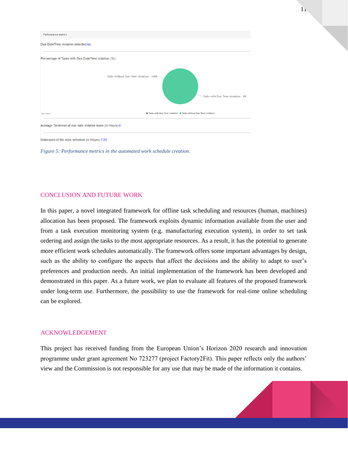

<span id="page-10-0"></span>*Figure 5: Performance metrics in the automated work schedule creation.*

## CONCLUSION AND FUTURE WORK

In this paper, a novel integrated framework for offline task scheduling and resources (human, machines) allocation has been proposed. The framework exploits dynamic information available from the user and from a task execution monitoring system (e.g. manufacturing execution system), in order to set task ordering and assign the tasks to the most appropriate resources. As a result, it has the potential to generate more efficient work schedules automatically. The framework offers some important advantages by design, such as the ability to configure the aspects that affect the decisions and the ability to adapt to user's preferences and production needs. An initial implementation of the framework has been developed and demonstrated in this paper. As a future work, we plan to evaluate all features of the proposed framework under long-term use. Furthermore, the possibility to use the framework for real-time online scheduling can be explored.

#### ACKNOWLEDGEMENT

This project has received funding from the European Union's Horizon 2020 research and innovation programme under grant agreement No 723277 (project Factory2Fit). This paper reflects only the authors' view and the Commission is not responsible for any use that may be made of the information it contains.